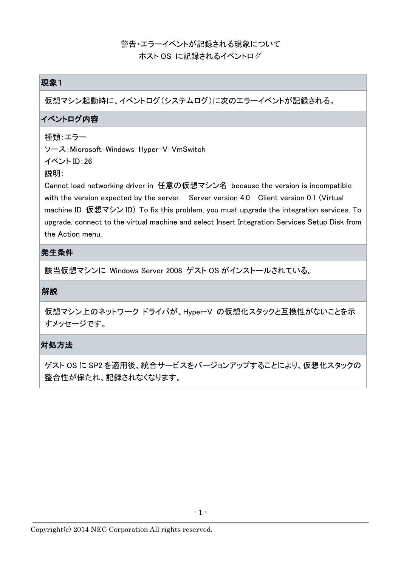#### 警告・エラーイベントが記録される現象について ホスト OS に記録されるイベントログ

#### 現象1

仮想マシン起動時に、イベントログ(システムログ)に次のエラーイベントが記録される。

# イベントログ内容

### 種類:エラー

ソース:Microsoft-Windows-Hyper-V-VmSwitch

イベント ID:26

説明:

Cannot load networking driver in 任意の仮想マシン名 because the version is incompatible with the version expected by the server. Server version 4.0 Client version 0.1 (Virtual machine ID 仮想マシン ID). To fix this problem, you must upgrade the integration services. To upgrade, connect to the virtual machine and select Insert Integration Services Setup Disk from the Action menu.

#### 発生条件

該当仮想マシンに Windows Server 2008 ゲスト OS がインストールされている。

#### 解説

仮想マシン上のネットワーク ドライバが、Hyper-V の仮想化スタックと互換性がないことを示 すメッセージです。

## 対処方法

ゲスト OS に SP2 を適用後、統合サービスをバージョンアップすることにより、仮想化スタックの 整合性が保たれ、記録されなくなります。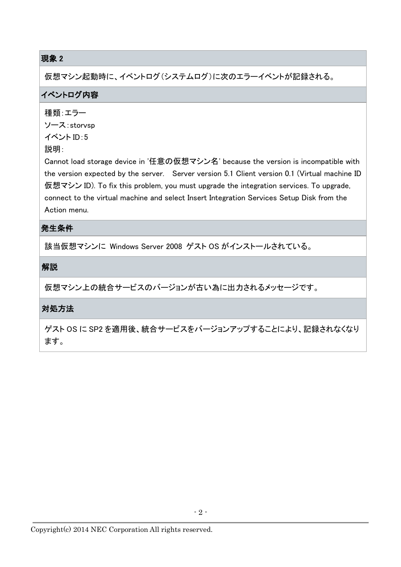仮想マシン起動時に、イベントログ(システムログ)に次のエラーイベントが記録される。

## イベントログ内容

#### 種類:エラー

ソース:storvsp イベント ID:5

#### 説明:

Cannot load storage device in '任意の仮想マシン名' because the version is incompatible with the version expected by the server. Server version 5.1 Client version 0.1 (Virtual machine ID 仮想マシン ID). To fix this problem, you must upgrade the integration services. To upgrade, connect to the virtual machine and select Insert Integration Services Setup Disk from the Action menu.

#### 発生条件

該当仮想マシンに Windows Server 2008 ゲスト OS がインストールされている。

#### 解説

仮想マシン上の統合サービスのバージョンが古い為に出力されるメッセージです。

## 対処方法

ゲスト OS に SP2 を適用後、統合サービスをバージョンアップすることにより、記録されなくなり ます。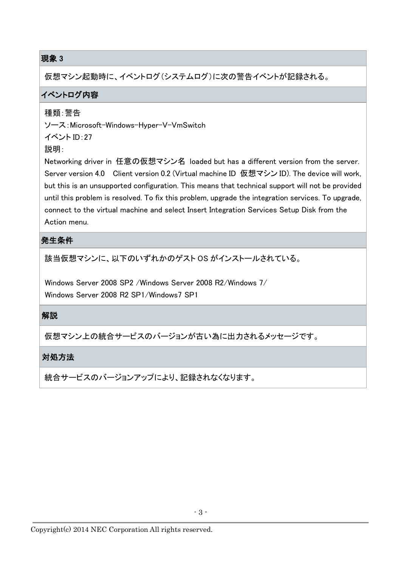仮想マシン起動時に、イベントログ(システムログ)に次の警告イベントが記録される。

## イベントログ内容

#### 種類:警告

ソース:Microsoft-Windows-Hyper-V-VmSwitch

イベント ID:27

説明:

Networking driver in 任意の仮想マシン名 loaded but has a different version from the server. Server version 4.0 Client version 0.2 (Virtual machine ID 仮想マシン ID). The device will work, but this is an unsupported configuration. This means that technical support will not be provided until this problem is resolved. To fix this problem, upgrade the integration services. To upgrade, connect to the virtual machine and select Insert Integration Services Setup Disk from the Action menu.

#### 発生条件

該当仮想マシンに、以下のいずれかのゲスト OS がインストールされている。

Windows Server 2008 SP2 /Windows Server 2008 R2/Windows 7/ Windows Server 2008 R2 SP1/Windows7 SP1

#### 解説

仮想マシン上の統合サービスのバージョンが古い為に出力されるメッセージです。

#### 対処方法

統合サービスのバージョンアップにより、記録されなくなります。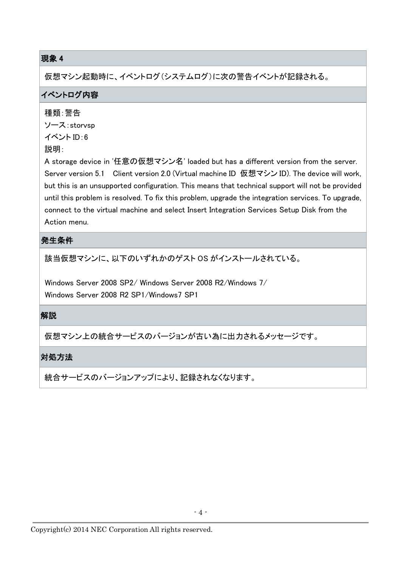仮想マシン起動時に、イベントログ(システムログ)に次の警告イベントが記録される。

## イベントログ内容

#### 種類:警告

ソース:storvsp イベント ID:6 説明:

A storage device in '任意の仮想マシン名' loaded but has a different version from the server. Server version 5.1 Client version 2.0 (Virtual machine ID 仮想マシン ID). The device will work, but this is an unsupported configuration. This means that technical support will not be provided until this problem is resolved. To fix this problem, upgrade the integration services. To upgrade, connect to the virtual machine and select Insert Integration Services Setup Disk from the Action menu.

## 発生条件

該当仮想マシンに、以下のいずれかのゲスト OS がインストールされている。

Windows Server 2008 SP2/ Windows Server 2008 R2/Windows 7/ Windows Server 2008 R2 SP1/Windows7 SP1

## 解説

仮想マシン上の統合サービスのバージョンが古い為に出力されるメッセージです。

## 対処方法

統合サービスのバージョンアップにより、記録されなくなります。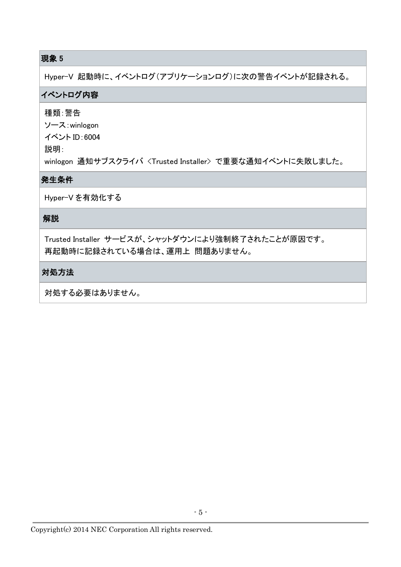Hyper-V 起動時に、イベントログ(アプリケーションログ)に次の警告イベントが記録される。

### イベントログ内容

#### 種類:警告

ソース:winlogon イベント ID:6004 説明:

winlogon 通知サブスクライバ <Trusted Installer> で重要な通知イベントに失敗しました。

## 発生条件

Hyper-V を有効化する

#### 解説

Trusted Installer サービスが、シャットダウンにより強制終了されたことが原因です。 再起動時に記録されている場合は、運用上 問題ありません。

# 対処方法

対処する必要はありません。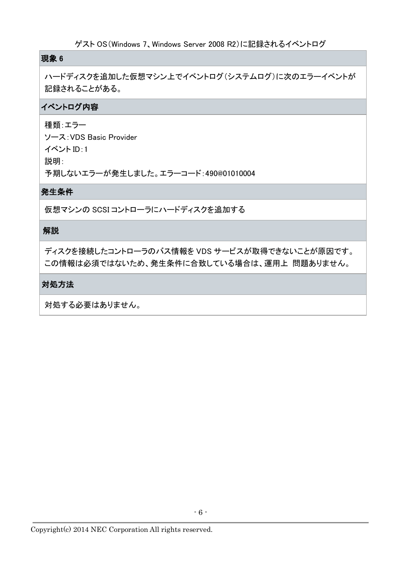ハードディスクを追加した仮想マシン上でイベントログ(システムログ)に次のエラーイベントが 記録されることがある。

#### イベントログ内容

#### 種類:エラー

ソース:VDS Basic Provider イベント ID:1 説明: 予期しないエラーが発生しました。エラーコード:490@01010004

#### 発生条件

仮想マシンの SCSI コントローラにハードディスクを追加する

#### 解説

ディスクを接続したコントローラのバス情報を VDS サービスが取得できないことが原因です。 この情報は必須ではないため、発生条件に合致している場合は、運用上 問題ありません。

#### 対処方法

対処する必要はありません。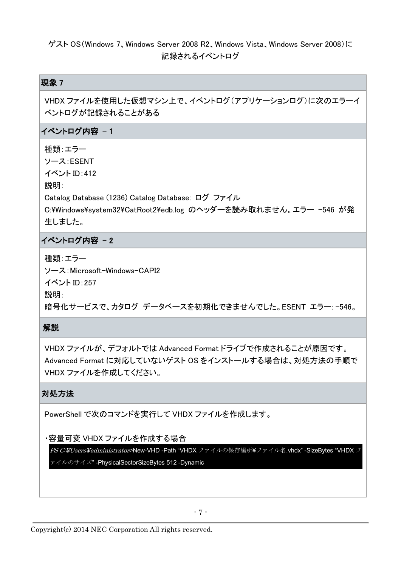# ゲスト OS (Windows 7、Windows Server 2008 R2、Windows Vista、Windows Server 2008)に 記録されるイベントログ

#### 現象 7

VHDX ファイルを使用した仮想マシン上で、イベントログ(アプリケーションログ)に次のエラーイ ベントログが記録されることがある

# イベントログ内容 - 1

種類:エラー ソース:ESENT イベント ID:412 説明: Catalog Database (1236) Catalog Database: ログ ファイル C:¥Windows¥system32¥CatRoot2¥edb.log のヘッダーを読み取れません。エラー -546 が発 生しました。

# イベントログ内容 - 2

種類:エラー ソース:Microsoft-Windows-CAPI2 イベント ID:257 説明: 暗号化サービスで、カタログ データベースを初期化できませんでした。ESENT エラー: -546。

## 解説

VHDX ファイルが、デフォルトでは Advanced Format ドライブで作成されることが原因です。 Advanced Format に対応していないゲスト OS をインストールする場合は、対処方法の手順で VHDX ファイルを作成してください。

## 対処方法

PowerShell で次のコマンドを実行して VHDX ファイルを作成します。

## ・容量可変 VHDX ファイルを作成する場合

PS C:¥Users¥administrator>New-VHD -Path "VHDX ファイルの保存場所¥ファイル名.vhdx" -SizeBytes "VHDX フ ァイルのサイズ" -PhysicalSectorSizeBytes 512 -Dynamic